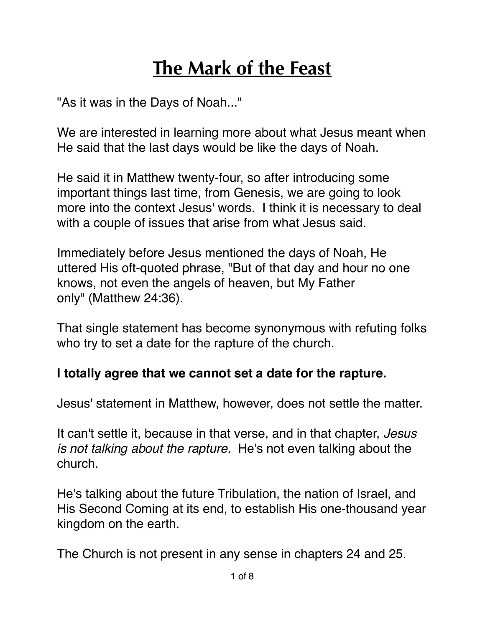## **The Mark of the Feast**

"As it was in the Days of Noah..."

We are interested in learning more about what Jesus meant when He said that the last days would be like the days of Noah.

He said it in Matthew twenty-four, so after introducing some important things last time, from Genesis, we are going to look more into the context Jesus' words. I think it is necessary to deal with a couple of issues that arise from what Jesus said.

Immediately before Jesus mentioned the days of Noah, He uttered His oft-quoted phrase, "But of that day and hour no one knows, not even the angels of heaven, but My Father only" (Matthew 24:36).

That single statement has become synonymous with refuting folks who try to set a date for the rapture of the church.

## **I totally agree that we cannot set a date for the rapture.**

Jesus' statement in Matthew, however, does not settle the matter.

It can't settle it, because in that verse, and in that chapter, *Jesus is not talking about the rapture.* He's not even talking about the church.

He's talking about the future Tribulation, the nation of Israel, and His Second Coming at its end, to establish His one-thousand year kingdom on the earth.

The Church is not present in any sense in chapters 24 and 25.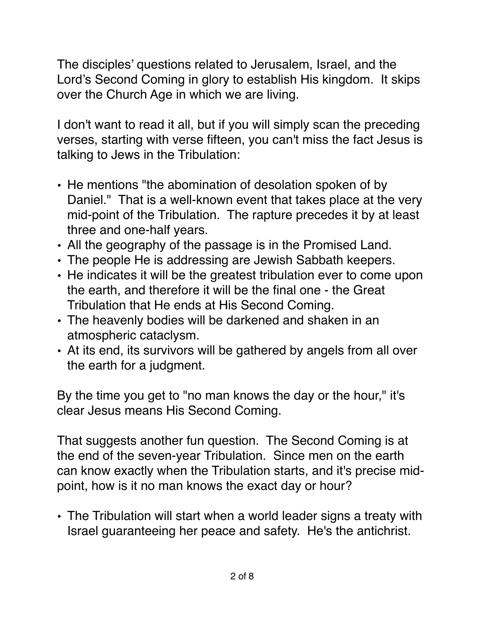The disciples' questions related to Jerusalem, Israel, and the Lord's Second Coming in glory to establish His kingdom. It skips over the Church Age in which we are living.

I don't want to read it all, but if you will simply scan the preceding verses, starting with verse fifteen, you can't miss the fact Jesus is talking to Jews in the Tribulation:

- He mentions "the abomination of desolation spoken of by Daniel." That is a well-known event that takes place at the very mid-point of the Tribulation. The rapture precedes it by at least three and one-half years.
- All the geography of the passage is in the Promised Land.
- The people He is addressing are Jewish Sabbath keepers.
- He indicates it will be the greatest tribulation ever to come upon the earth, and therefore it will be the final one - the Great Tribulation that He ends at His Second Coming.
- The heavenly bodies will be darkened and shaken in an atmospheric cataclysm.
- At its end, its survivors will be gathered by angels from all over the earth for a judgment.

By the time you get to "no man knows the day or the hour," it's clear Jesus means His Second Coming.

That suggests another fun question. The Second Coming is at the end of the seven-year Tribulation. Since men on the earth can know exactly when the Tribulation starts, and it's precise midpoint, how is it no man knows the exact day or hour?

• The Tribulation will start when a world leader signs a treaty with Israel guaranteeing her peace and safety. He's the antichrist.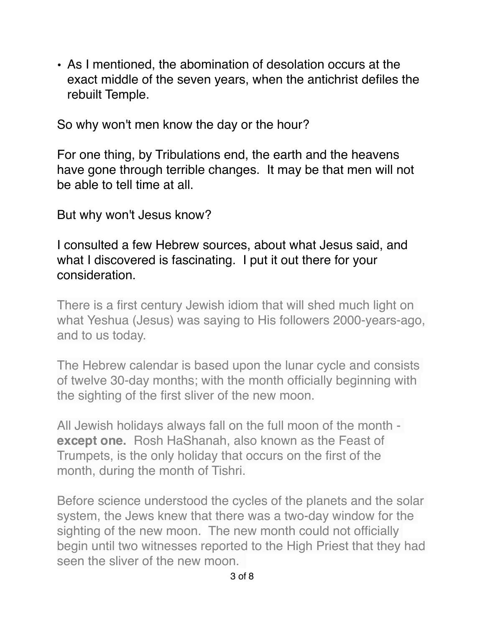• As I mentioned, the abomination of desolation occurs at the exact middle of the seven years, when the antichrist defiles the rebuilt Temple.

So why won't men know the day or the hour?

For one thing, by Tribulations end, the earth and the heavens have gone through terrible changes. It may be that men will not be able to tell time at all.

But why won't Jesus know?

I consulted a few Hebrew sources, about what Jesus said, and what I discovered is fascinating. I put it out there for your consideration.

There is a first century Jewish idiom that will shed much light on what Yeshua (Jesus) was saying to His followers 2000-years-ago, and to us today.

The Hebrew calendar is based upon the lunar cycle and consists of twelve 30-day months; with the month officially beginning with the sighting of the first sliver of the new moon.

All Jewish holidays always fall on the full moon of the month **except one.** Rosh HaShanah, also known as the Feast of Trumpets, is the only holiday that occurs on the first of the month, during the month of Tishri.

Before science understood the cycles of the planets and the solar system, the Jews knew that there was a two-day window for the sighting of the new moon. The new month could not officially begin until two witnesses reported to the High Priest that they had seen the sliver of the new moon.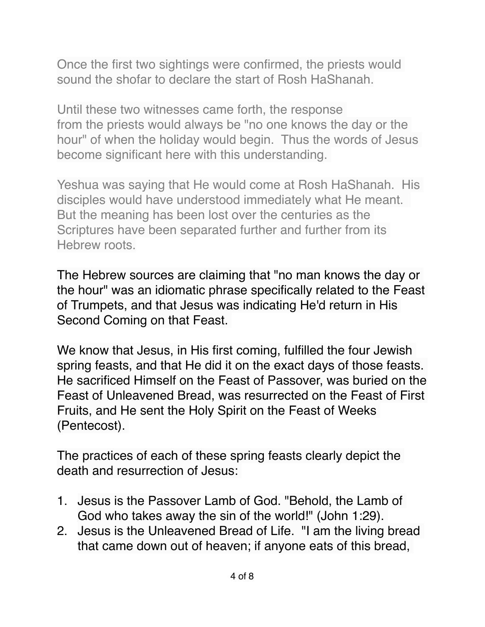Once the first two sightings were confirmed, the priests would sound the shofar to declare the start of Rosh HaShanah.

Until these two witnesses came forth, the response from the priests would always be "no one knows the day or the hour" of when the holiday would begin. Thus the words of Jesus become significant here with this understanding.

Yeshua was saying that He would come at Rosh HaShanah. His disciples would have understood immediately what He meant. But the meaning has been lost over the centuries as the Scriptures have been separated further and further from its Hebrew roots.

The Hebrew sources are claiming that "no man knows the day or the hour" was an idiomatic phrase specifically related to the Feast of Trumpets, and that Jesus was indicating He'd return in His Second Coming on that Feast.

We know that Jesus, in His first coming, fulfilled the four Jewish spring feasts, and that He did it on the exact days of those feasts. He sacrificed Himself on the Feast of Passover, was buried on the Feast of Unleavened Bread, was resurrected on the Feast of First Fruits, and He sent the Holy Spirit on the Feast of Weeks (Pentecost).

The practices of each of these spring feasts clearly depict the death and resurrection of Jesus:

- 1. Jesus is the Passover Lamb of God. "Behold, the Lamb of God who takes away the sin of the world!" (John 1:29).
- 2. Jesus is the Unleavened Bread of Life. "I am the living bread that came down out of heaven; if anyone eats of this bread,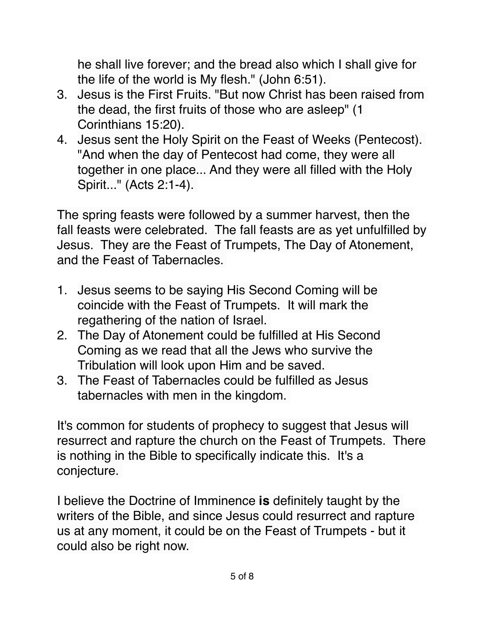he shall live forever; and the bread also which I shall give for the life of the world is My flesh." (John 6:51).

- 3. Jesus is the First Fruits. "But now Christ has been raised from the dead, the first fruits of those who are asleep" (1 Corinthians 15:20).
- 4. Jesus sent the Holy Spirit on the Feast of Weeks (Pentecost). "And when the day of Pentecost had come, they were all together in one place... And they were all filled with the Holy Spirit..." (Acts 2:1-4).

The spring feasts were followed by a summer harvest, then the fall feasts were celebrated. The fall feasts are as yet unfulfilled by Jesus. They are the Feast of Trumpets, The Day of Atonement, and the Feast of Tabernacles.

- 1. Jesus seems to be saying His Second Coming will be coincide with the Feast of Trumpets. It will mark the regathering of the nation of Israel.
- 2. The Day of Atonement could be fulfilled at His Second Coming as we read that all the Jews who survive the Tribulation will look upon Him and be saved.
- 3. The Feast of Tabernacles could be fulfilled as Jesus tabernacles with men in the kingdom.

It's common for students of prophecy to suggest that Jesus will resurrect and rapture the church on the Feast of Trumpets. There is nothing in the Bible to specifically indicate this. It's a conjecture.

I believe the Doctrine of Imminence **is** definitely taught by the writers of the Bible, and since Jesus could resurrect and rapture us at any moment, it could be on the Feast of Trumpets - but it could also be right now.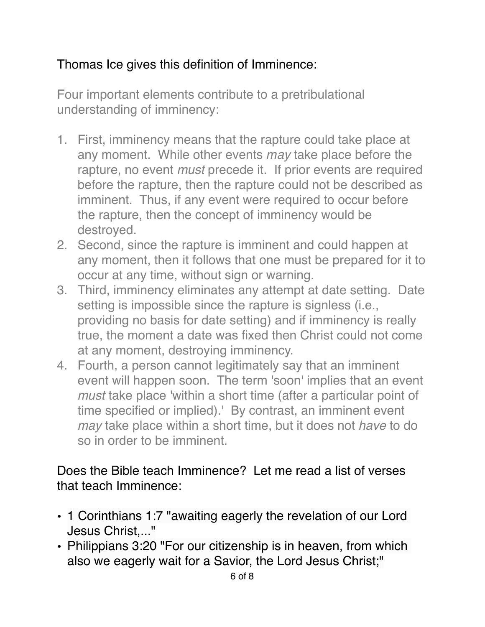## Thomas Ice gives this definition of Imminence:

Four important elements contribute to a pretribulational understanding of imminency:

- 1. First, imminency means that the rapture could take place at any moment. While other events *may* take place before the rapture, no event *must* precede it. If prior events are required before the rapture, then the rapture could not be described as imminent. Thus, if any event were required to occur before the rapture, then the concept of imminency would be destroyed.
- 2. Second, since the rapture is imminent and could happen at any moment, then it follows that one must be prepared for it to occur at any time, without sign or warning.
- 3. Third, imminency eliminates any attempt at date setting. Date setting is impossible since the rapture is signless (i.e., providing no basis for date setting) and if imminency is really true, the moment a date was fixed then Christ could not come at any moment, destroying imminency.
- 4. Fourth, a person cannot legitimately say that an imminent event will happen soon. The term 'soon' implies that an event *must* take place 'within a short time (after a particular point of time specified or implied).' By contrast, an imminent event *may* take place within a short time, but it does not *have* to do so in order to be imminent.

Does the Bible teach Imminence? Let me read a list of verses that teach Imminence:

- 1 Corinthians 1:7 "awaiting eagerly the revelation of our Lord Jesus Christ,..."
- Philippians 3:20 "For our citizenship is in heaven, from which also we eagerly wait for a Savior, the Lord Jesus Christ;"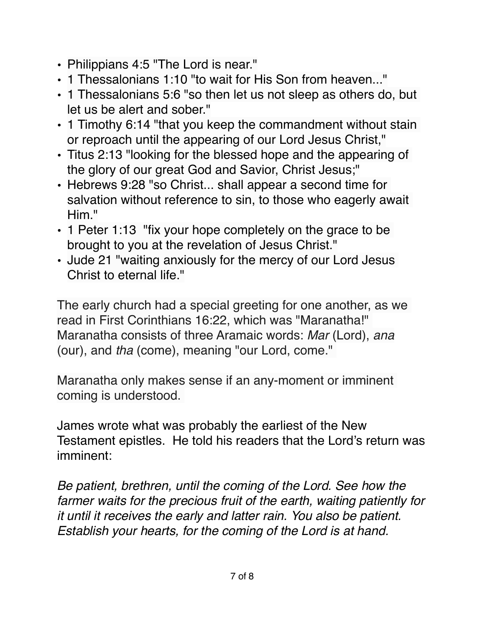- Philippians 4:5 "The Lord is near."
- 1 Thessalonians 1:10 "to wait for His Son from heaven..."
- 1 Thessalonians 5:6 "so then let us not sleep as others do, but let us be alert and sober."
- 1 Timothy 6:14 "that you keep the commandment without stain or reproach until the appearing of our Lord Jesus Christ,"
- Titus 2:13 "looking for the blessed hope and the appearing of the glory of our great God and Savior, Christ Jesus;"
- Hebrews 9:28 "so Christ... shall appear a second time for salvation without reference to sin, to those who eagerly await Him<sup>"</sup>
- 1 Peter 1:13 "fix your hope completely on the grace to be brought to you at the revelation of Jesus Christ."
- Jude 21 "waiting anxiously for the mercy of our Lord Jesus Christ to eternal life."

The early church had a special greeting for one another, as we read in First Corinthians 16:22, which was "Maranatha!" Maranatha consists of three Aramaic words: *Mar* (Lord), *ana* (our), and *tha* (come), meaning "our Lord, come."

Maranatha only makes sense if an any-moment or imminent coming is understood.

James wrote what was probably the earliest of the New Testament epistles. He told his readers that the Lord's return was imminent:

*Be patient, brethren, until the coming of the Lord. See how the farmer waits for the precious fruit of the earth, waiting patiently for it until it receives the early and latter rain. You also be patient. Establish your hearts, for the coming of the Lord is at hand.*